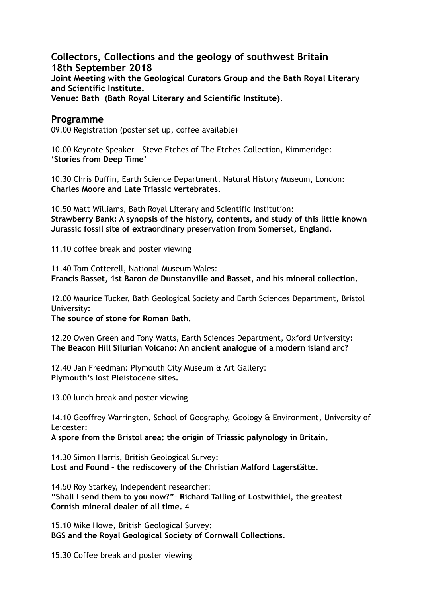**Collectors, Collections and the geology of southwest Britain 18th September 2018 Joint Meeting with the Geological Curators Group and the Bath Royal Literary and Scientific Institute. Venue: Bath (Bath Royal Literary and Scientific Institute).** 

## **Programme**

09.00 Registration (poster set up, coffee available)

10.00 Keynote Speaker – Steve Etches of The Etches Collection, Kimmeridge: **'Stories from Deep Time'** 

10.30 Chris Duffin, Earth Science Department, Natural History Museum, London: **Charles Moore and Late Triassic vertebrates.** 

10.50 Matt Williams, Bath Royal Literary and Scientific Institution: **Strawberry Bank: A synopsis of the history, contents, and study of this little known Jurassic fossil site of extraordinary preservation from Somerset, England.** 

11.10 coffee break and poster viewing

11.40 Tom Cotterell, National Museum Wales: **Francis Basset, 1st Baron de Dunstanville and Basset, and his mineral collection.** 

12.00 Maurice Tucker, Bath Geological Society and Earth Sciences Department, Bristol University:

**The source of stone for Roman Bath.** 

12.20 Owen Green and Tony Watts, Earth Sciences Department, Oxford University: **The Beacon Hill Silurian Volcano: An ancient analogue of a modern island arc?** 

12.40 Jan Freedman: Plymouth City Museum & Art Gallery: **Plymouth's lost Pleistocene sites.** 

13.00 lunch break and poster viewing

14.10 Geoffrey Warrington, School of Geography, Geology & Environment, University of Leicester:

**A spore from the Bristol area: the origin of Triassic palynology in Britain.** 

14.30 Simon Harris, British Geological Survey: **Lost and Found – the rediscovery of the Christian Malford Lagerstätte.** 

14.50 Roy Starkey, Independent researcher: **"Shall I send them to you now?"– Richard Talling of Lostwithiel, the greatest Cornish mineral dealer of all time.** 4

15.10 Mike Howe, British Geological Survey: **BGS and the Royal Geological Society of Cornwall Collections.** 

15.30 Coffee break and poster viewing